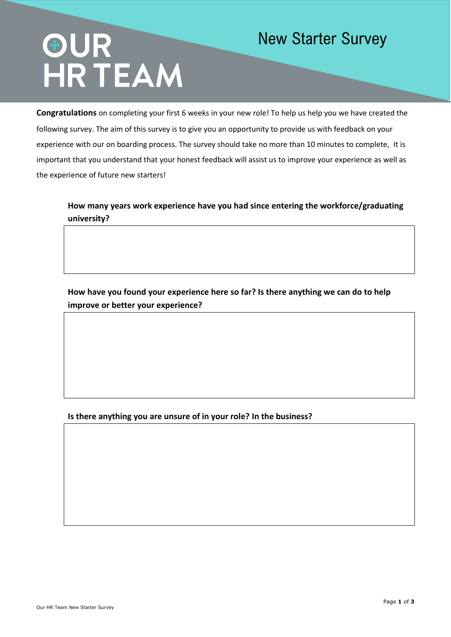# OUR<br>HR TEAM

## New Starter Survey

**Congratulations** on completing your first 6 weeks in your new role! To help us help you we have created the following survey. The aim of this survey is to give you an opportunity to provide us with feedback on your experience with our on boarding process. The survey should take no more than 10 minutes to complete, It is important that you understand that your honest feedback will assist us to improve your experience as well as the experience of future new starters!

**How many years work experience have you had since entering the workforce/graduating university?**

**How have you found your experience here so far? Is there anything we can do to help improve or better your experience?**

### **Is there anything you are unsure of in your role? In the business?**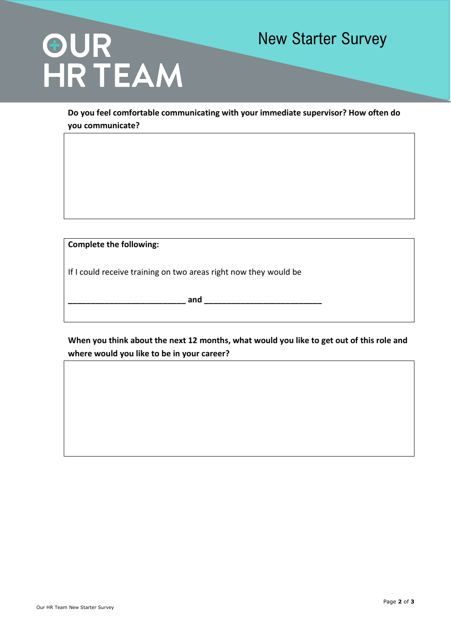## OUR<br>HR TEAM

### New Starter Survey

**Do you feel comfortable communicating with your immediate supervisor? How often do you communicate?**

**Complete the following:**

If I could receive training on two areas right now they would be

**\_\_\_\_\_\_\_\_\_\_\_\_\_\_\_\_\_\_\_\_\_\_\_\_\_\_ and \_\_\_\_\_\_\_\_\_\_\_\_\_\_\_\_\_\_\_\_\_\_\_\_\_\_**

**When you think about the next 12 months, what would you like to get out of this role and where would you like to be in your career?**